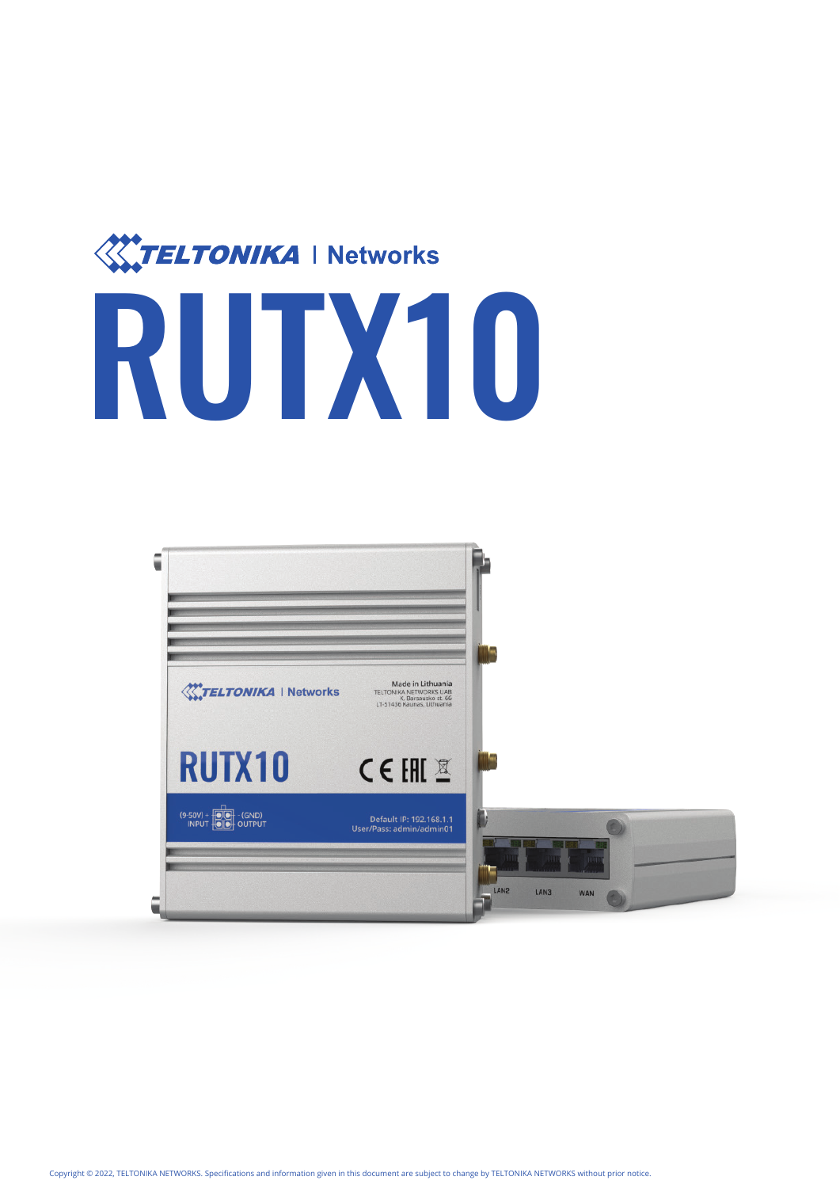

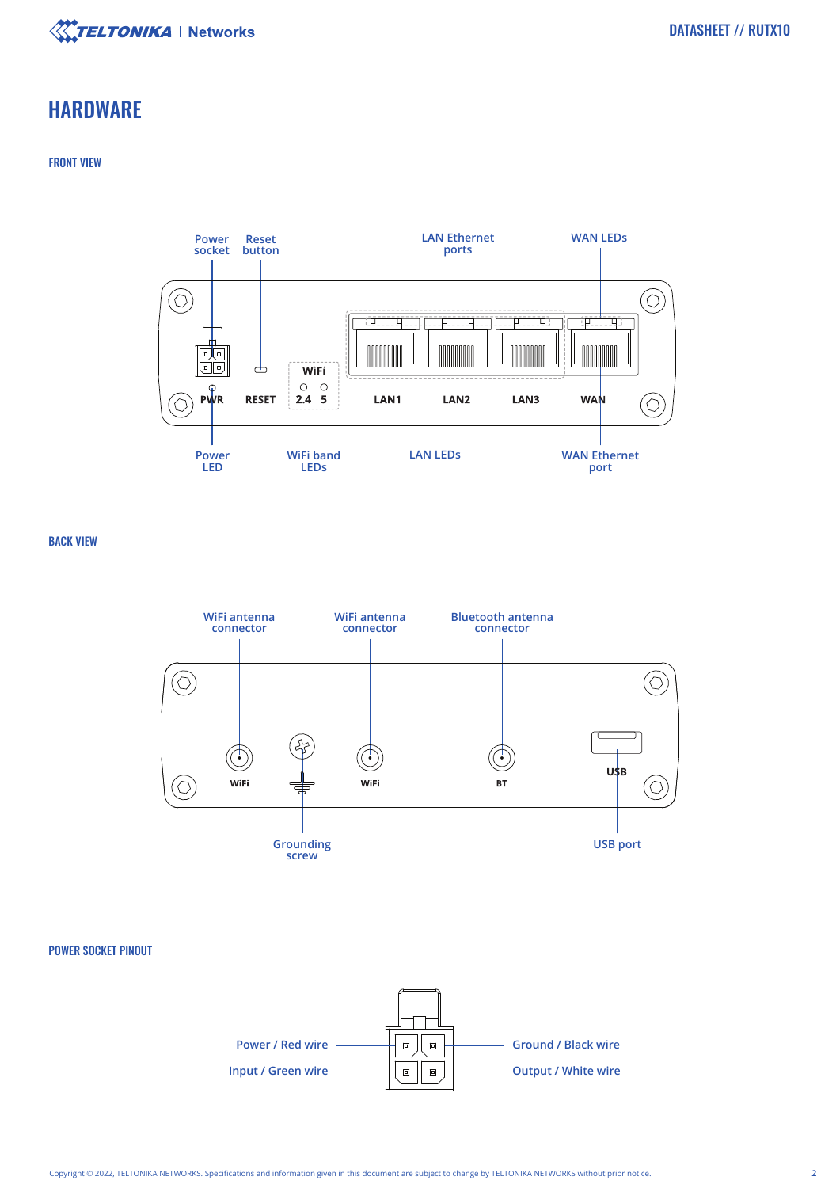

### **HARDWARE**

#### FRONT VIEW



BACK VIEW



#### POWER SOCKET PINOUT

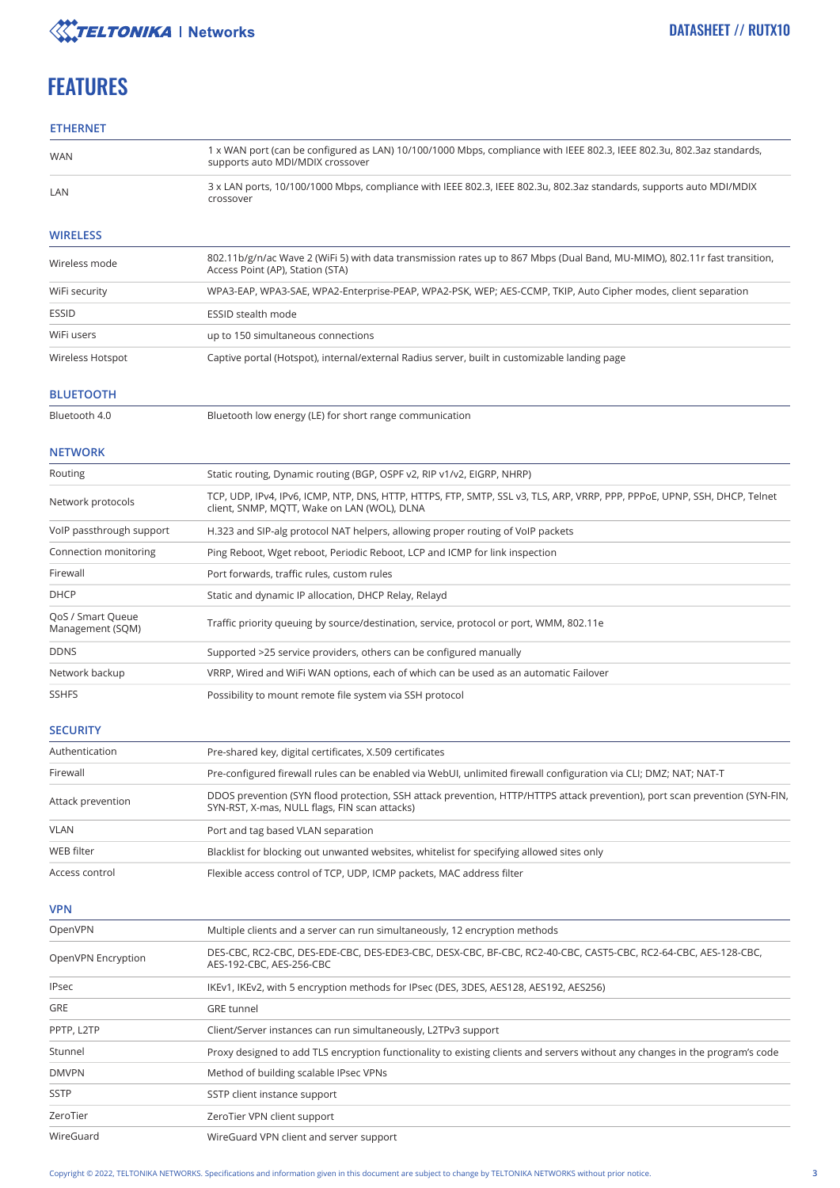

# **FEATURES**

#### **ETHERNET**

| WAN                                   | 1 x WAN port (can be configured as LAN) 10/100/1000 Mbps, compliance with IEEE 802.3, IEEE 802.3u, 802.3az standards,<br>supports auto MDI/MDIX crossover                    |  |
|---------------------------------------|------------------------------------------------------------------------------------------------------------------------------------------------------------------------------|--|
| LAN                                   | 3 x LAN ports, 10/100/1000 Mbps, compliance with IEEE 802.3, IEEE 802.3u, 802.3az standards, supports auto MDI/MDIX<br>crossover                                             |  |
| <b>WIRELESS</b>                       |                                                                                                                                                                              |  |
| Wireless mode                         | 802.11b/g/n/ac Wave 2 (WiFi 5) with data transmission rates up to 867 Mbps (Dual Band, MU-MIMO), 802.11r fast transition,<br>Access Point (AP), Station (STA)                |  |
| WiFi security                         | WPA3-EAP, WPA3-SAE, WPA2-Enterprise-PEAP, WPA2-PSK, WEP; AES-CCMP, TKIP, Auto Cipher modes, client separation                                                                |  |
| <b>ESSID</b>                          | ESSID stealth mode                                                                                                                                                           |  |
| WiFi users                            | up to 150 simultaneous connections                                                                                                                                           |  |
| Wireless Hotspot                      | Captive portal (Hotspot), internal/external Radius server, built in customizable landing page                                                                                |  |
| <b>BLUETOOTH</b>                      |                                                                                                                                                                              |  |
| Bluetooth 4.0                         | Bluetooth low energy (LE) for short range communication                                                                                                                      |  |
| <b>NETWORK</b>                        |                                                                                                                                                                              |  |
| Routing                               | Static routing, Dynamic routing (BGP, OSPF v2, RIP v1/v2, EIGRP, NHRP)                                                                                                       |  |
| Network protocols                     | TCP, UDP, IPv4, IPv6, ICMP, NTP, DNS, HTTP, HTTPS, FTP, SMTP, SSL v3, TLS, ARP, VRRP, PPP, PPPoE, UPNP, SSH, DHCP, Telnet<br>client, SNMP, MOTT, Wake on LAN (WOL), DLNA     |  |
| VoIP passthrough support              | H.323 and SIP-alg protocol NAT helpers, allowing proper routing of VoIP packets                                                                                              |  |
| Connection monitoring                 | Ping Reboot, Wget reboot, Periodic Reboot, LCP and ICMP for link inspection                                                                                                  |  |
| Firewall                              | Port forwards, traffic rules, custom rules                                                                                                                                   |  |
| <b>DHCP</b>                           | Static and dynamic IP allocation, DHCP Relay, Relayd                                                                                                                         |  |
| QoS / Smart Queue<br>Management (SQM) | Traffic priority queuing by source/destination, service, protocol or port, WMM, 802.11e                                                                                      |  |
| <b>DDNS</b>                           | Supported >25 service providers, others can be configured manually                                                                                                           |  |
| Network backup                        | VRRP, Wired and WiFi WAN options, each of which can be used as an automatic Failover                                                                                         |  |
| <b>SSHFS</b>                          | Possibility to mount remote file system via SSH protocol                                                                                                                     |  |
|                                       |                                                                                                                                                                              |  |
| <b>SECURITY</b>                       |                                                                                                                                                                              |  |
| Authentication                        | Pre-shared key, digital certificates, X.509 certificates                                                                                                                     |  |
| Firewall                              | Pre-configured firewall rules can be enabled via WebUI, unlimited firewall configuration via CLI; DMZ; NAT; NAT-T                                                            |  |
| Attack prevention                     | DDOS prevention (SYN flood protection, SSH attack prevention, HTTP/HTTPS attack prevention), port scan prevention (SYN-FIN,<br>SYN-RST, X-mas, NULL flags, FIN scan attacks) |  |
| <b>VLAN</b>                           | Port and tag based VLAN separation                                                                                                                                           |  |
| WEB filter                            | Blacklist for blocking out unwanted websites, whitelist for specifying allowed sites only                                                                                    |  |
| Access control                        | Flexible access control of TCP, UDP, ICMP packets, MAC address filter                                                                                                        |  |
| <b>VPN</b>                            |                                                                                                                                                                              |  |
| OpenVPN                               | Multiple clients and a server can run simultaneously, 12 encryption methods                                                                                                  |  |
| OpenVPN Encryption                    | DES-CBC, RC2-CBC, DES-EDE-CBC, DES-EDE3-CBC, DESX-CBC, BF-CBC, RC2-40-CBC, CAST5-CBC, RC2-64-CBC, AES-128-CBC,<br>AES-192-CBC, AES-256-CBC                                   |  |
| <b>IPsec</b>                          | IKEv1, IKEv2, with 5 encryption methods for IPsec (DES, 3DES, AES128, AES192, AES256)                                                                                        |  |
| GRE                                   | <b>GRE</b> tunnel                                                                                                                                                            |  |
| PPTP, L2TP                            | Client/Server instances can run simultaneously, L2TPv3 support                                                                                                               |  |
| Stunnel                               | Proxy designed to add TLS encryption functionality to existing clients and servers without any changes in the program's code                                                 |  |
| <b>DMVPN</b>                          | Method of building scalable IPsec VPNs                                                                                                                                       |  |
| <b>SSTP</b>                           | SSTP client instance support                                                                                                                                                 |  |

WireGuard VPN client and server support

ZeroTier WireGuard ZeroTier VPN client support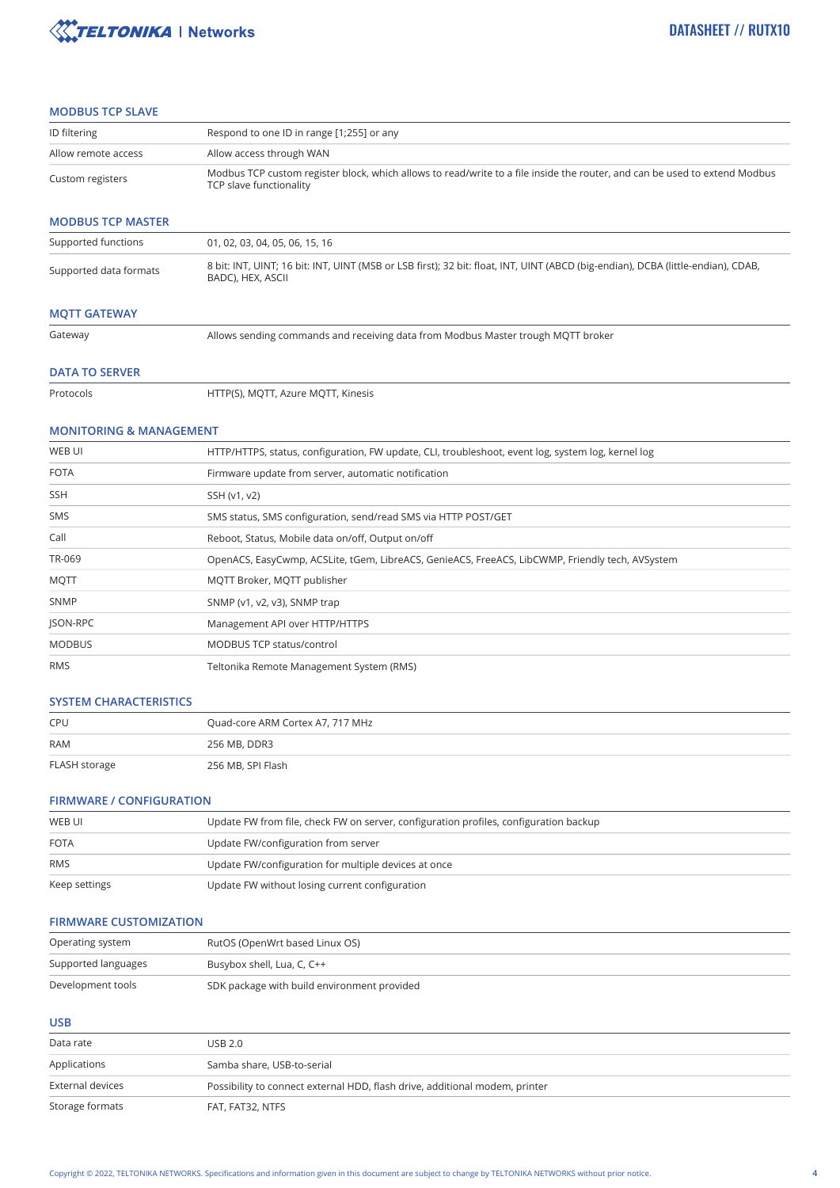

#### **MODBUS TCP SLAVE**

| ID filtering                       | Respond to one ID in range [1;255] or any                                                                                                             |  |
|------------------------------------|-------------------------------------------------------------------------------------------------------------------------------------------------------|--|
| Allow remote access                | Allow access through WAN                                                                                                                              |  |
| Custom registers                   | Modbus TCP custom register block, which allows to read/write to a file inside the router, and can be used to extend Modbus<br>TCP slave functionality |  |
| <b>MODBUS TCP MASTER</b>           |                                                                                                                                                       |  |
| Supported functions                | 01, 02, 03, 04, 05, 06, 15, 16                                                                                                                        |  |
| Supported data formats             | 8 bit: INT, UINT; 16 bit: INT, UINT (MSB or LSB first); 32 bit: float, INT, UINT (ABCD (big-endian), DCBA (little-endian), CDAB,<br>BADC), HEX, ASCII |  |
| <b>MQTT GATEWAY</b>                |                                                                                                                                                       |  |
| Gateway                            | Allows sending commands and receiving data from Modbus Master trough MQTT broker                                                                      |  |
| <b>DATA TO SERVER</b>              |                                                                                                                                                       |  |
| Protocols                          | HTTP(S), MQTT, Azure MQTT, Kinesis                                                                                                                    |  |
| <b>MONITORING &amp; MANAGEMENT</b> |                                                                                                                                                       |  |
| WEB UI                             | HTTP/HTTPS, status, configuration, FW update, CLI, troubleshoot, event log, system log, kernel log                                                    |  |
| <b>FOTA</b>                        | Firmware update from server, automatic notification                                                                                                   |  |
| SSH                                | SSH (v1, v2)                                                                                                                                          |  |
| SMS                                | SMS status, SMS configuration, send/read SMS via HTTP POST/GET                                                                                        |  |
| Call                               | Reboot, Status, Mobile data on/off, Output on/off                                                                                                     |  |
| TR-069                             | OpenACS, EasyCwmp, ACSLite, tGem, LibreACS, GenieACS, FreeACS, LibCWMP, Friendly tech, AVSystem                                                       |  |
| MQTT                               | MQTT Broker, MQTT publisher                                                                                                                           |  |
| SNMP                               | SNMP (v1, v2, v3), SNMP trap                                                                                                                          |  |
| JSON-RPC                           | Management API over HTTP/HTTPS                                                                                                                        |  |
| <b>MODBUS</b>                      | MODBUS TCP status/control                                                                                                                             |  |
| RMS                                | Teltonika Remote Management System (RMS)                                                                                                              |  |
| <b>SYSTEM CHARACTERISTICS</b>      |                                                                                                                                                       |  |
| <b>CPU</b>                         | Quad-core ARM Cortex A7, 717 MHz                                                                                                                      |  |
| RAM                                | 256 MB, DDR3                                                                                                                                          |  |
| FLASH storage                      | 256 MB, SPI Flash                                                                                                                                     |  |
| <b>FIRMWARE / CONFIGURATION</b>    |                                                                                                                                                       |  |
| WEB UI                             | Update FW from file, check FW on server, configuration profiles, configuration backup                                                                 |  |
| <b>FOTA</b>                        | Update FW/configuration from server                                                                                                                   |  |
| RMS                                | Update FW/configuration for multiple devices at once                                                                                                  |  |

#### **FIRMWARE CUSTOMIZATION**

Keep settings Update FW without losing current configuration

| Operating system    | RutOS (OpenWrt based Linux OS)              |
|---------------------|---------------------------------------------|
| Supported languages | Busybox shell, Lua, C, C++                  |
| Development tools   | SDK package with build environment provided |

#### **USB**

| Data rate        | USB 2.0                                                                     |
|------------------|-----------------------------------------------------------------------------|
| Applications     | Samba share, USB-to-serial                                                  |
| External devices | Possibility to connect external HDD, flash drive, additional modem, printer |
| Storage formats  | FAT, FAT32, NTFS                                                            |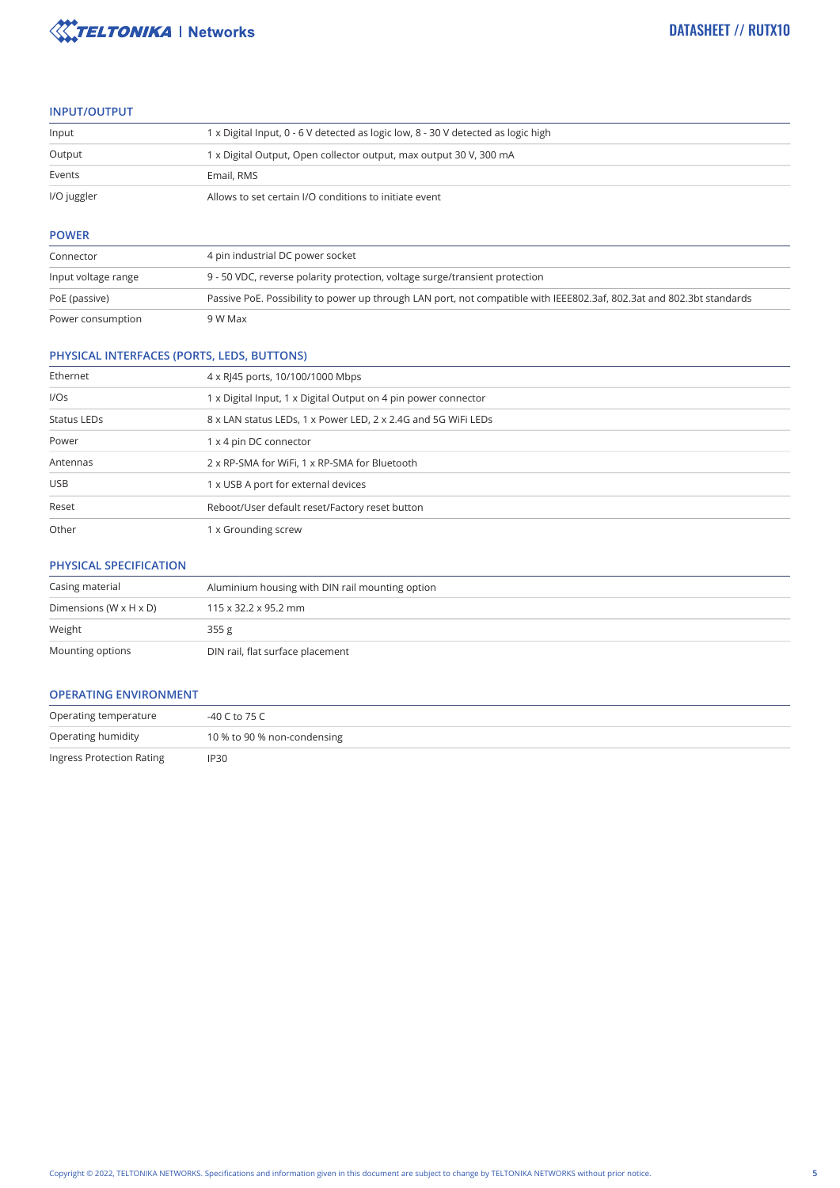

#### **INPUT/OUTPUT**

| Input       | 1 x Digital Input, 0 - 6 V detected as logic low, 8 - 30 V detected as logic high |
|-------------|-----------------------------------------------------------------------------------|
| Output      | 1 x Digital Output, Open collector output, max output 30 V, 300 mA                |
| Events      | Email, RMS                                                                        |
| I/O juggler | Allows to set certain I/O conditions to initiate event                            |

#### **POWER**

| Connector           | 4 pin industrial DC power socket                                                                                      |
|---------------------|-----------------------------------------------------------------------------------------------------------------------|
| Input voltage range | 9 - 50 VDC, reverse polarity protection, voltage surge/transient protection                                           |
| PoE (passive)       | Passive PoE. Possibility to power up through LAN port, not compatible with IEEE802.3af, 802.3at and 802.3bt standards |
| Power consumption   | 9 W Max                                                                                                               |

#### **PHYSICAL INTERFACES (PORTS, LEDS, BUTTONS)**

| Ethernet    | 4 x RJ45 ports, 10/100/1000 Mbps                               |  |
|-------------|----------------------------------------------------------------|--|
| I/Os        | 1 x Digital Input, 1 x Digital Output on 4 pin power connector |  |
| Status LEDs | 8 x LAN status LEDs, 1 x Power LED, 2 x 2.4G and 5G WiFi LEDs  |  |
| Power       | 1 x 4 pin DC connector                                         |  |
| Antennas    | 2 x RP-SMA for WiFi, 1 x RP-SMA for Bluetooth                  |  |
| <b>USB</b>  | 1 x USB A port for external devices                            |  |
| Reset       | Reboot/User default reset/Factory reset button                 |  |
| Other       | 1 x Grounding screw                                            |  |

#### **PHYSICAL SPECIFICATION**

| Casing material                      | Aluminium housing with DIN rail mounting option |  |
|--------------------------------------|-------------------------------------------------|--|
| Dimensions (W $\times$ H $\times$ D) | $115 \times 32.2 \times 95.2$ mm                |  |
| Weight                               | 355g                                            |  |
| Mounting options                     | DIN rail, flat surface placement                |  |

#### **OPERATING ENVIRONMENT**

| Operating temperature     | -40 C to 75 C               |  |
|---------------------------|-----------------------------|--|
| Operating humidity        | 10 % to 90 % non-condensing |  |
| Ingress Protection Rating | IP30                        |  |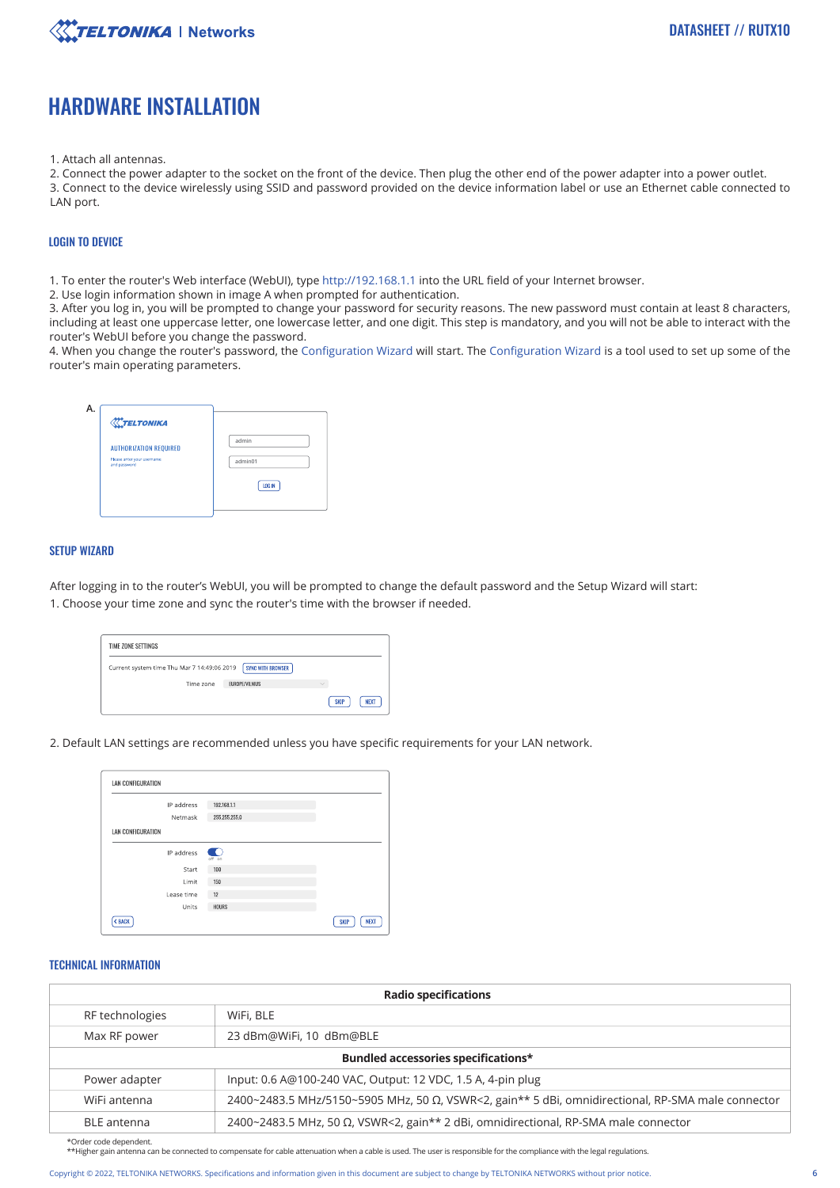

### HARDWARE INSTALLATION

1. Attach all antennas.

2. Connect the power adapter to the socket on the front of the device. Then plug the other end of the power adapter into a power outlet. 3. Connect to the device wirelessly using SSID and password provided on the device information label or use an Ethernet cable connected to LAN port.

#### LOGIN TO DEVICE

1. To enter the router's Web interface (WebUI), type http://192.168.1.1 into the URL field of your Internet browser.

2. Use login information shown in image A when prompted for authentication.

3. After you log in, you will be prompted to change your password for security reasons. The new password must contain at least 8 characters, including at least one uppercase letter, one lowercase letter, and one digit. This step is mandatory, and you will not be able to interact with the router's WebUI before you change the password.

4. When you change the router's password, the Configuration Wizard will start. The Configuration Wizard is a tool used to set up some of the router's main operating parameters.

| <b>XXTELTONIKA</b>                         |         |
|--------------------------------------------|---------|
| <b>AUTHORIZATION REQUIRED</b>              | admin   |
| Please anter your username<br>and password | admin01 |
|                                            | LOG IN  |
|                                            |         |

#### SETUP WIZARD

After logging in to the router's WebUI, you will be prompted to change the default password and the Setup Wizard will start: 1. Choose your time zone and sync the router's time with the browser if needed.

| TIME ZONE SETTINGS                          |                   |                            |
|---------------------------------------------|-------------------|----------------------------|
| Current system time Thu Mar 7 14:49:06 2019 | SYNC WITH BROWSER |                            |
| Time zone                                   | FUROPF/VILNIUS    | $\sim$                     |
|                                             |                   | <b>SKIP</b><br><b>NEXT</b> |

2. Default LAN settings are recommended unless you have specific requirements for your LAN network.

| LAN CONFIGURATION |               |                            |
|-------------------|---------------|----------------------------|
| IP address        | 192.168.1.1   |                            |
| Netmask           | 255.255.255.0 |                            |
| LAN CONFIGURATION |               |                            |
| IP address        | off on        |                            |
| Start             | 100           |                            |
| Limit             | 150           |                            |
| Lease time        | 12            |                            |
| Units             | <b>HOURS</b>  |                            |
| < BACK            |               | <b>NEXT</b><br><b>SKIP</b> |

#### TECHNICAL INFORMATION

| <b>Radio specifications</b>         |                                                                                                           |  |  |
|-------------------------------------|-----------------------------------------------------------------------------------------------------------|--|--|
| RF technologies                     | WiFi, BLE                                                                                                 |  |  |
| Max RF power                        | 23 dBm@WiFi, 10 dBm@BLE                                                                                   |  |  |
| Bundled accessories specifications* |                                                                                                           |  |  |
| Power adapter                       | Input: 0.6 A@100-240 VAC, Output: 12 VDC, 1.5 A, 4-pin plug                                               |  |  |
| WiFi antenna                        | 2400~2483.5 MHz/5150~5905 MHz, 50 $\Omega$ , VSWR<2, gain** 5 dBi, omnidirectional, RP-SMA male connector |  |  |
| <b>BLE</b> antenna                  | 2400~2483.5 MHz, 50 Ω, VSWR<2, gain** 2 dBi, omnidirectional, RP-SMA male connector                       |  |  |
| $*$ Order code dependent            |                                                                                                           |  |  |

\*Order code dependent. \*\*Higher gain antenna can be connected to compensate for cable attenuation when a cable is used. The user is responsible for the compliance with the legal regulations.

Copyright © 2022, TELTONIKA NETWORKS. Specifications and information given in this document are subject to change by TELTONIKA NETWORKS without prior notice.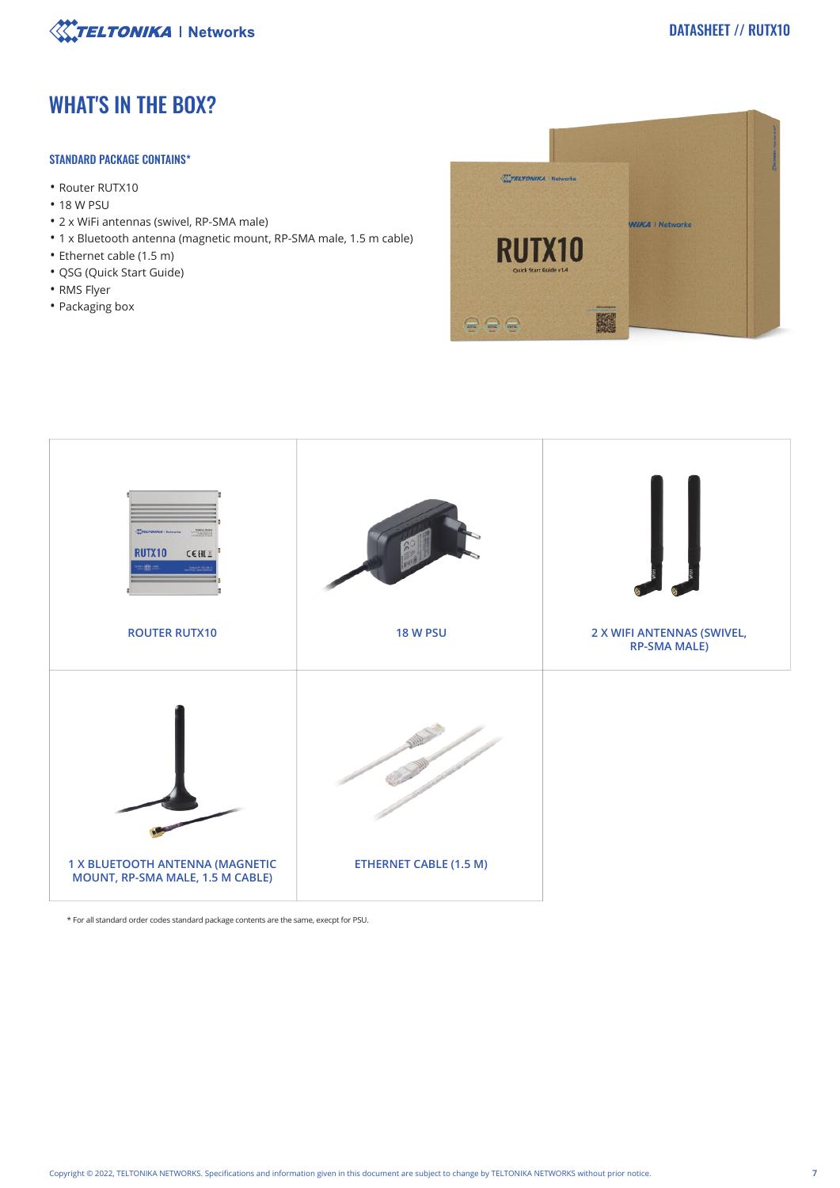

### WHAT'S IN THE BOX?

#### STANDARD PACKAGE CONTAINS\*

- Router RUTX10
- 18 W PSU
- 2 x WiFi antennas (swivel, RP-SMA male)
- 1 x Bluetooth antenna (magnetic mount, RP-SMA male, 1.5 m cable)
- Ethernet cable (1.5 m)
- QSG (Quick Start Guide)
- RMS Flyer
- Packaging box





\* For all standard order codes standard package contents are the same, execpt for PSU.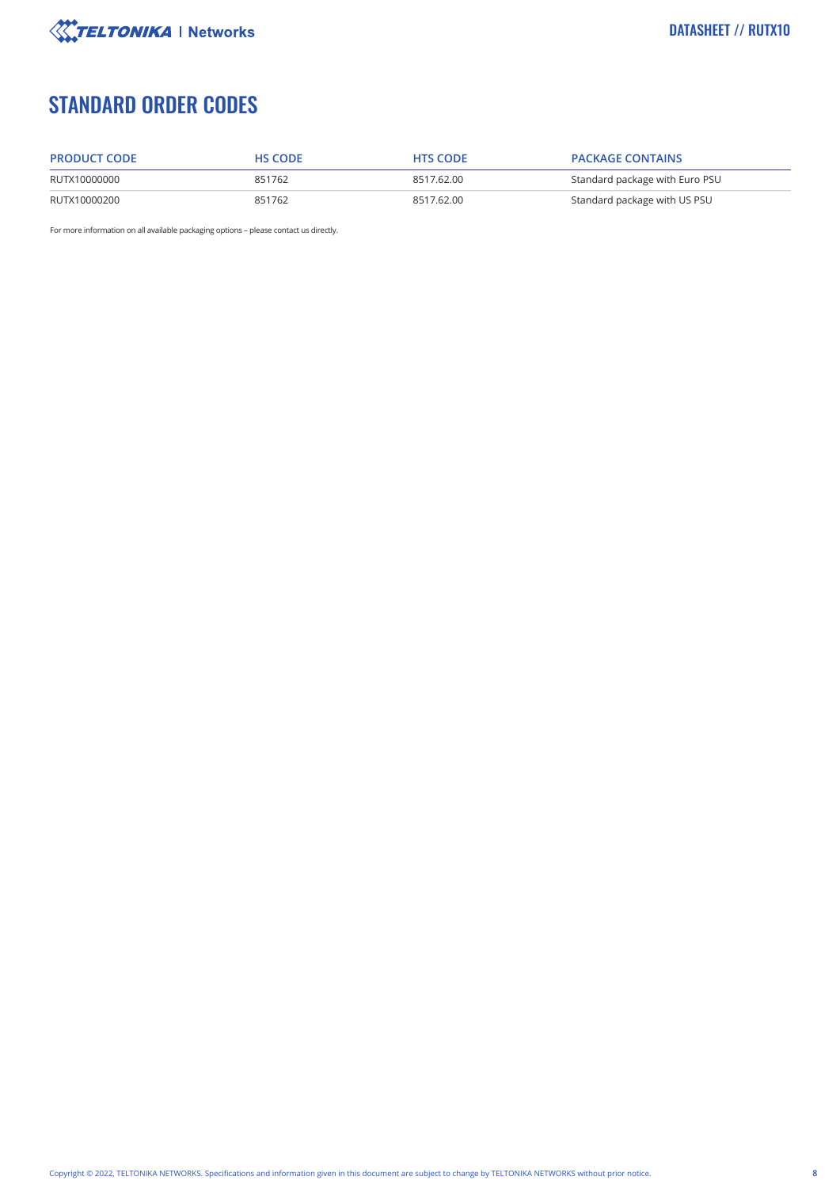

## STANDARD ORDER CODES

| <b>PRODUCT CODE</b> | <b>HS CODE</b> | <b>HTS CODE</b> | <b>PACKAGE CONTAINS</b>        |
|---------------------|----------------|-----------------|--------------------------------|
| RUTX10000000        | 851762         | 8517.62.00      | Standard package with Euro PSU |
| RUTX10000200        | 851762         | 8517.62.00      | Standard package with US PSU   |

For more information on all available packaging options – please contact us directly.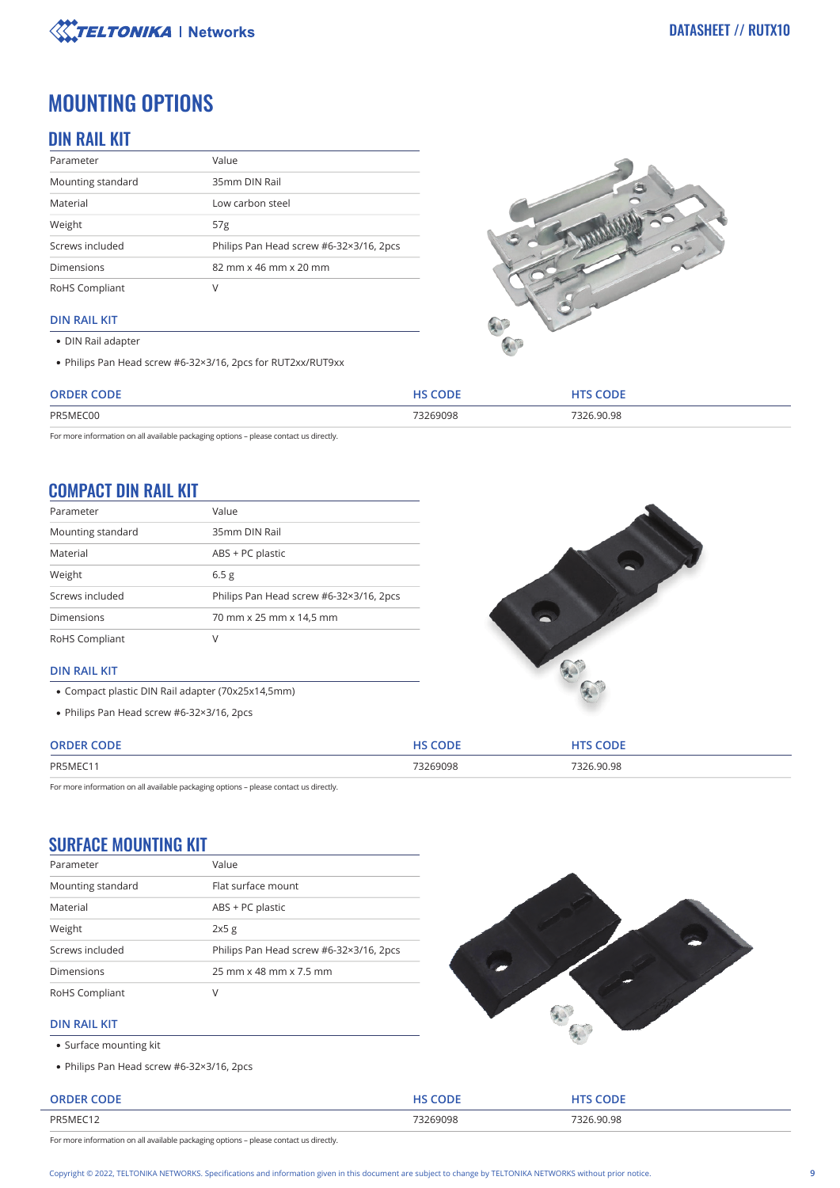

## MOUNTING OPTIONS

### DIN RAIL KIT

| Parameter         | Value                                   |
|-------------------|-----------------------------------------|
| Mounting standard | 35mm DIN Rail                           |
| Material          | Low carbon steel                        |
| Weight            | 57 <sub>g</sub>                         |
| Screws included   | Philips Pan Head screw #6-32×3/16, 2pcs |
| <b>Dimensions</b> | 82 mm x 46 mm x 20 mm                   |
| RoHS Compliant    | V                                       |

#### **DIN RAIL KIT**

- DIN Rail adapter
- Philips Pan Head screw #6-32×3/16, 2pcs for RUT2xx/RUT9xx



| <b>ORDER CODE</b> | HS CODE  | 'S CODE    |
|-------------------|----------|------------|
| PR5MEC00          | 73269098 | 7326 90 98 |

For more information on all available packaging options – please contact us directly.

### COMPACT DIN RAIL KIT

| Parameter         | Value                                   |
|-------------------|-----------------------------------------|
| Mounting standard | 35mm DIN Rail                           |
| Material          | ABS + PC plastic                        |
| Weight            | 6.5 <sub>g</sub>                        |
| Screws included   | Philips Pan Head screw #6-32×3/16, 2pcs |
| <b>Dimensions</b> | 70 mm x 25 mm x 14,5 mm                 |
| RoHS Compliant    | V                                       |



- Compact plastic DIN Rail adapter (70x25x14,5mm)
- Philips Pan Head screw #6-32×3/16, 2pcs



| CODE<br><b>ORDER</b><br>___ | $\sim$  | <b>CODE</b> |
|-----------------------------|---------|-------------|
| PR5MEC1                     | 3269098 | 90.98       |
|                             | .       | 1.1.11      |

For more information on all available packaging options – please contact us directly.

### SURFACE MOUNTING KIT

| Parameter         | Value                                   |
|-------------------|-----------------------------------------|
| Mounting standard | Flat surface mount                      |
| Material          | ABS + PC plastic                        |
| Weight            | 2x5g                                    |
| Screws included   | Philips Pan Head screw #6-32×3/16, 2pcs |
| <b>Dimensions</b> | 25 mm x 48 mm x 7.5 mm                  |
| RoHS Compliant    | V                                       |



#### **DIN RAIL KIT**

- Surface mounting kit
- Philips Pan Head screw #6-32×3/16, 2pcs

| <b>ORDER CODE</b> | HS CODE  | <b>HTS CODE</b> |
|-------------------|----------|-----------------|
| PR5MEC12          | 73269098 | 7326.90.98      |

For more information on all available packaging options – please contact us directly.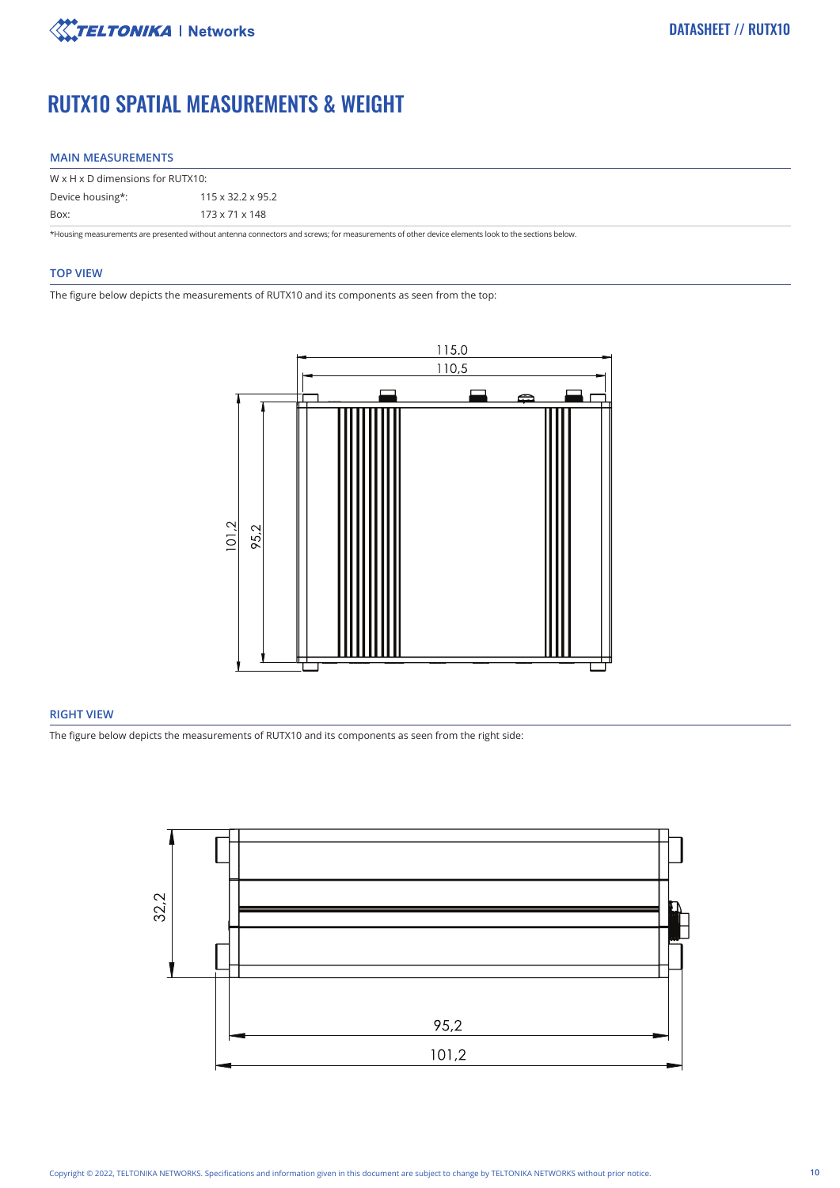

## RUTX10 SPATIAL MEASUREMENTS & WEIGHT

#### **MAIN MEASUREMENTS**

| W x H x D dimensions for RUTX10: |                               |  |
|----------------------------------|-------------------------------|--|
| Device housing*:                 | $115 \times 32.2 \times 95.2$ |  |
| Box:                             | 173 x 71 x 148                |  |

\*Housing measurements are presented without antenna connectors and screws; for measurements of other device elements look to the sections below.

#### **TOP VIEW**

The figure below depicts the measurements of RUTX10 and its components as seen from the top:



#### **RIGHT VIEW**

The figure below depicts the measurements of RUTX10 and its components as seen from the right side:

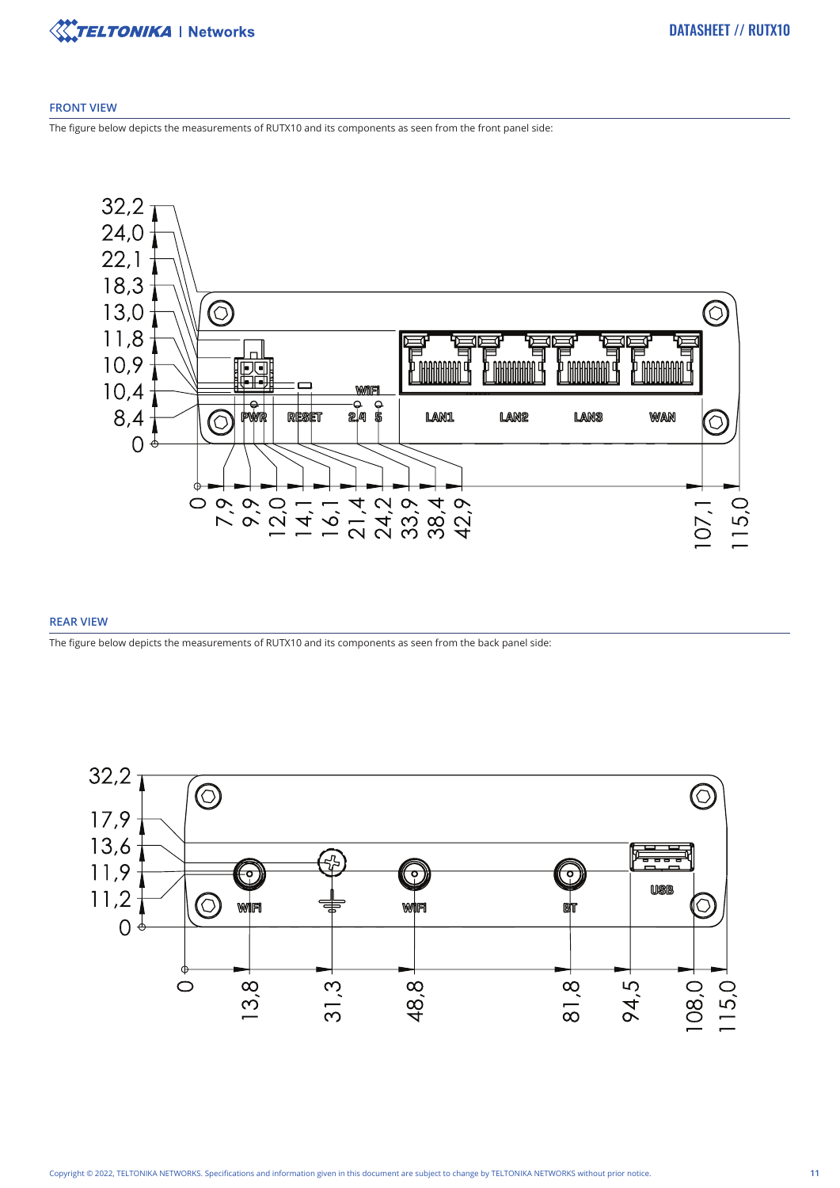

#### **FRONT VIEW**

The figure below depicts the measurements of RUTX10 and its components as seen from the front panel side:



#### **REAR VIEW**

The figure below depicts the measurements of RUTX10 and its components as seen from the back panel side:

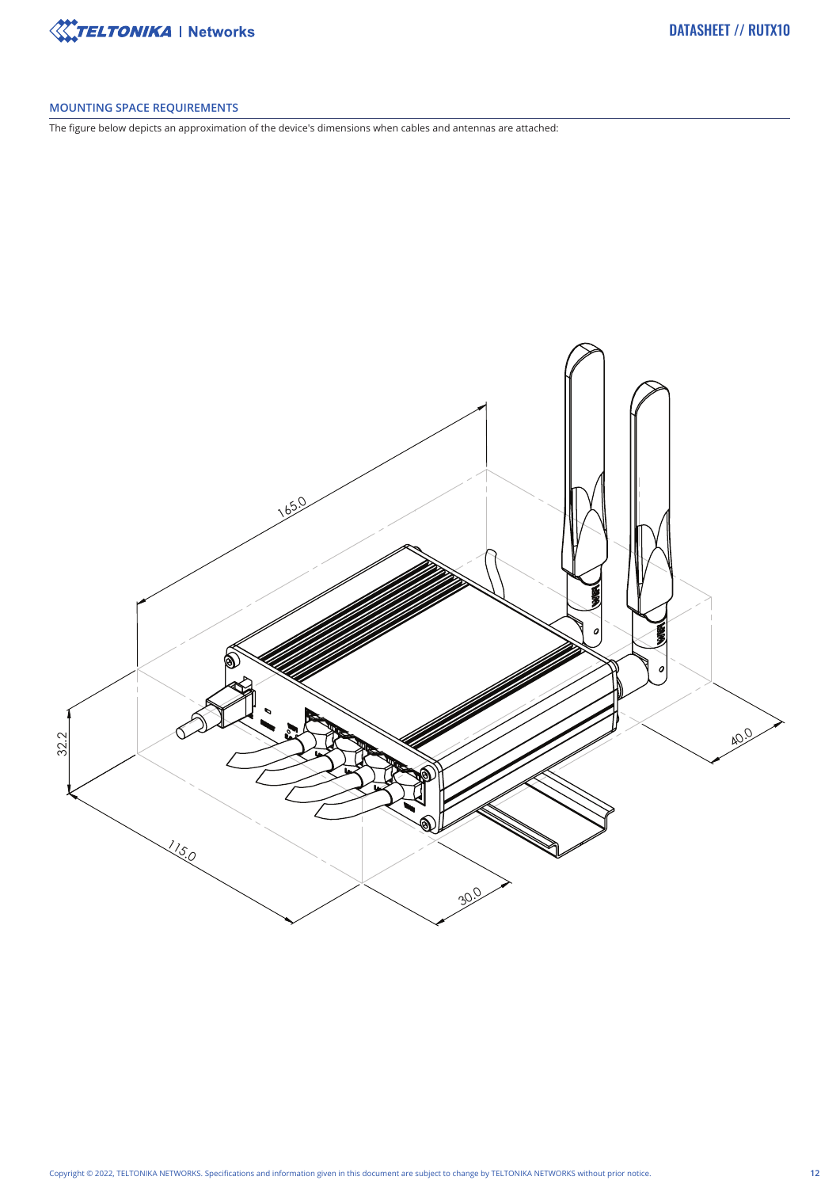

#### **MOUNTING SPACE REQUIREMENTS**

The figure below depicts an approximation of the device's dimensions when cables and antennas are attached: